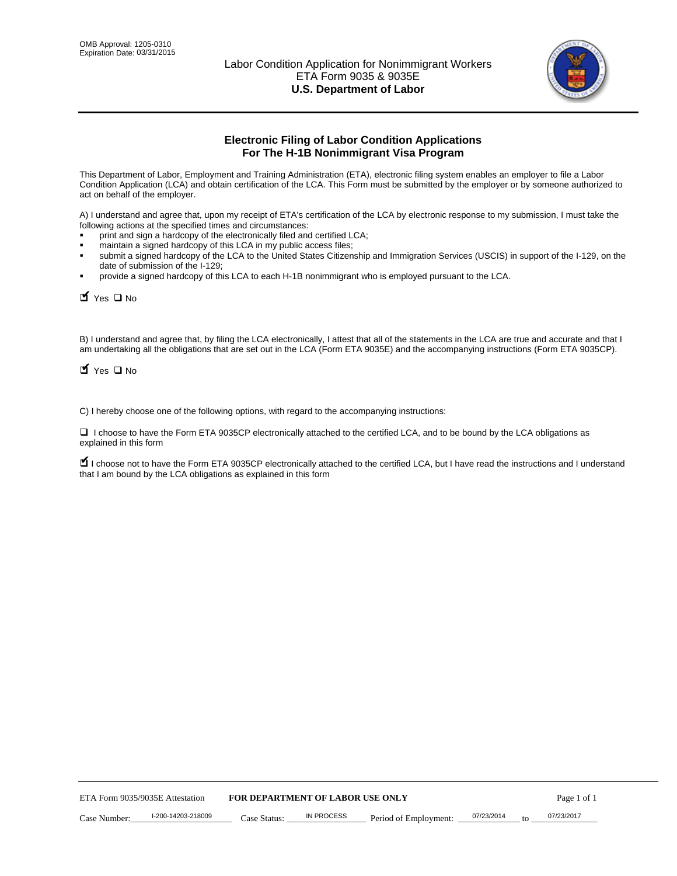

# **Electronic Filing of Labor Condition Applications For The H-1B Nonimmigrant Visa Program**

This Department of Labor, Employment and Training Administration (ETA), electronic filing system enables an employer to file a Labor Condition Application (LCA) and obtain certification of the LCA. This Form must be submitted by the employer or by someone authorized to act on behalf of the employer.

A) I understand and agree that, upon my receipt of ETA's certification of the LCA by electronic response to my submission, I must take the following actions at the specified times and circumstances:

- print and sign a hardcopy of the electronically filed and certified LCA;
- maintain a signed hardcopy of this LCA in my public access files;
- submit a signed hardcopy of the LCA to the United States Citizenship and Immigration Services (USCIS) in support of the I-129, on the date of submission of the I-129;
- provide a signed hardcopy of this LCA to each H-1B nonimmigrant who is employed pursuant to the LCA.

| Yes ONO                                                                                                                                                                                                                                                                                        |                                  |                   |                       |                  |             |
|------------------------------------------------------------------------------------------------------------------------------------------------------------------------------------------------------------------------------------------------------------------------------------------------|----------------------------------|-------------------|-----------------------|------------------|-------------|
| B) I understand and agree that, by filing the LCA electronically, I attest that all of the statements in the LCA are true and accurate and th<br>am undertaking all the obligations that are set out in the LCA (Form ETA 9035E) and the accompanying instructions (Form ETA 9035CF<br>Yes ONO |                                  |                   |                       |                  |             |
| C) I hereby choose one of the following options, with regard to the accompanying instructions:                                                                                                                                                                                                 |                                  |                   |                       |                  |             |
| □ I choose to have the Form ETA 9035CP electronically attached to the certified LCA, and to be bound by the LCA obligations as<br>explained in this form                                                                                                                                       |                                  |                   |                       |                  |             |
| I choose not to have the Form ETA 9035CP electronically attached to the certified LCA, but I have read the instructions and I underst<br>that I am bound by the LCA obligations as explained in this form                                                                                      |                                  |                   |                       |                  |             |
|                                                                                                                                                                                                                                                                                                |                                  |                   |                       |                  |             |
|                                                                                                                                                                                                                                                                                                |                                  |                   |                       |                  |             |
|                                                                                                                                                                                                                                                                                                |                                  |                   |                       |                  |             |
|                                                                                                                                                                                                                                                                                                |                                  |                   |                       |                  |             |
|                                                                                                                                                                                                                                                                                                |                                  |                   |                       |                  |             |
|                                                                                                                                                                                                                                                                                                |                                  |                   |                       |                  |             |
|                                                                                                                                                                                                                                                                                                |                                  |                   |                       |                  |             |
|                                                                                                                                                                                                                                                                                                |                                  |                   |                       |                  |             |
|                                                                                                                                                                                                                                                                                                |                                  |                   |                       |                  |             |
|                                                                                                                                                                                                                                                                                                |                                  |                   |                       |                  |             |
|                                                                                                                                                                                                                                                                                                |                                  |                   |                       |                  |             |
|                                                                                                                                                                                                                                                                                                |                                  |                   |                       |                  |             |
| ETA Form 9035/9035E Attestation                                                                                                                                                                                                                                                                | FOR DEPARTMENT OF LABOR USE ONLY |                   |                       |                  | Page 1 of 1 |
| I-200-14203-218009<br>Case Number:                                                                                                                                                                                                                                                             | Case Status:                     | <b>IN PROCESS</b> | Period of Employment: | 07/23/2014<br>to | 07/23/2017  |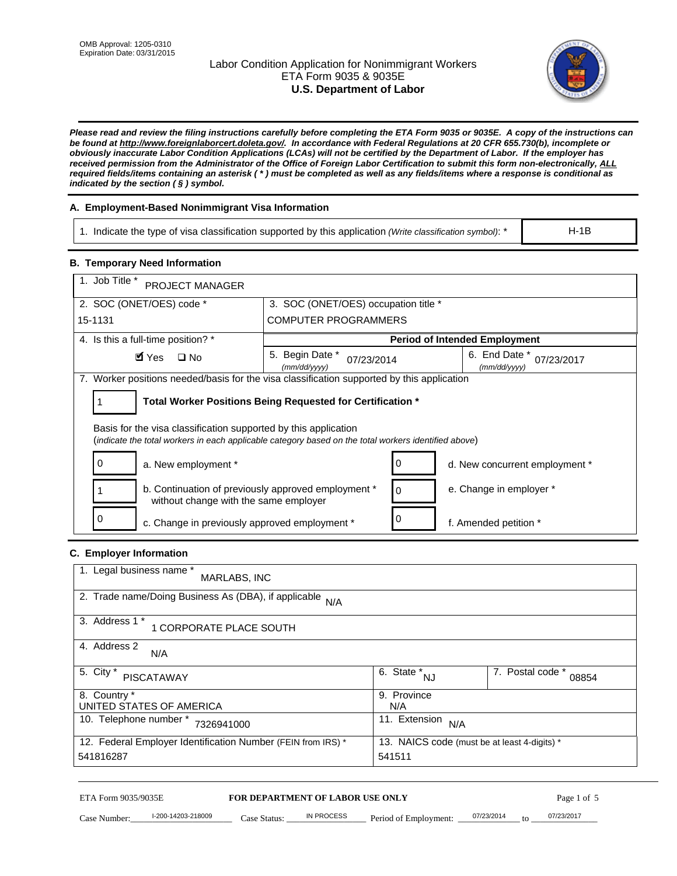# Labor Condition Application for Nonimmigrant Workers ETA Form 9035 & 9035E **U.S. Department of Labor**



*Please read and review the filing instructions carefully before completing the ETA Form 9035 or 9035E. A copy of the instructions can be found at http://www.foreignlaborcert.doleta.gov/. In accordance with Federal Regulations at 20 CFR 655.730(b), incomplete or obviously inaccurate Labor Condition Applications (LCAs) will not be certified by the Department of Labor. If the employer has received permission from the Administrator of the Office of Foreign Labor Certification to submit this form non-electronically, ALL required fields/items containing an asterisk ( \* ) must be completed as well as any fields/items where a response is conditional as indicated by the section ( § ) symbol.* 

# **A. Employment-Based Nonimmigrant Visa Information**

1. Indicate the type of visa classification supported by this application *(Write classification symbol)*: \*

### **B. Temporary Need Information**

| 1. Indicate the type of visa classification supported by this application (Write classification symbol): *                                                              |                                                |                                                 |                                              | $H-1B$                    |  |
|-------------------------------------------------------------------------------------------------------------------------------------------------------------------------|------------------------------------------------|-------------------------------------------------|----------------------------------------------|---------------------------|--|
| <b>B. Temporary Need Information</b>                                                                                                                                    |                                                |                                                 |                                              |                           |  |
| 1. Job Title *<br>PROJECT MANAGER                                                                                                                                       |                                                |                                                 |                                              |                           |  |
| 2. SOC (ONET/OES) code *                                                                                                                                                | 3. SOC (ONET/OES) occupation title *           |                                                 |                                              |                           |  |
| 15-1131                                                                                                                                                                 | <b>COMPUTER PROGRAMMERS</b>                    |                                                 |                                              |                           |  |
| 4. Is this a full-time position? *                                                                                                                                      |                                                |                                                 | <b>Period of Intended Employment</b>         |                           |  |
| $\blacksquare$ Yes<br>$\square$ No                                                                                                                                      | 5. Begin Date *<br>07/23/2014<br>(mm/dd/yyyy)  |                                                 | 6. End Date *<br>(mm/dd/yyyy)                | 07/23/2017                |  |
| 7. Worker positions needed/basis for the visa classification supported by this application                                                                              |                                                |                                                 |                                              |                           |  |
| Total Worker Positions Being Requested for Certification *<br>1                                                                                                         |                                                |                                                 |                                              |                           |  |
| Basis for the visa classification supported by this application<br>(indicate the total workers in each applicable category based on the total workers identified above) |                                                |                                                 |                                              |                           |  |
| 0<br>a. New employment *                                                                                                                                                |                                                | 0                                               | d. New concurrent employment *               |                           |  |
| b. Continuation of previously approved employment *<br>without change with the same employer                                                                            |                                                | 0                                               | e. Change in employer *                      |                           |  |
| 0<br>0<br>c. Change in previously approved employment *<br>f. Amended petition *                                                                                        |                                                |                                                 |                                              |                           |  |
| C. Employer Information                                                                                                                                                 |                                                |                                                 |                                              |                           |  |
| 1. Legal business name *<br>MARLABS, INC                                                                                                                                |                                                |                                                 |                                              |                           |  |
| 2. Trade name/Doing Business As (DBA), if applicable N/A                                                                                                                |                                                |                                                 |                                              |                           |  |
| 3. Address 1 *<br>1 CORPORATE PLACE SOUTH                                                                                                                               |                                                |                                                 |                                              |                           |  |
| 4. Address 2<br>N/A                                                                                                                                                     |                                                |                                                 |                                              |                           |  |
| 5. City *<br><b>PISCATAWAY</b>                                                                                                                                          |                                                | $\overline{6. \quad \text{State}}^*_{\quad NJ}$ |                                              | 7. Postal code *<br>08854 |  |
| 8. Country *<br>UNITED STATES OF AMERICA                                                                                                                                |                                                | 9. Province<br>N/A                              |                                              |                           |  |
| 10. Telephone number * 7326941000                                                                                                                                       |                                                | 11. Extension $N/A$                             |                                              |                           |  |
| 12. Federal Employer Identification Number (FEIN from IRS) *<br>541816287                                                                                               |                                                | 541511                                          | 13. NAICS code (must be at least 4-digits) * |                           |  |
|                                                                                                                                                                         |                                                |                                                 |                                              |                           |  |
| ETA Form 9035/9035E<br>I-200-14203-218009<br>Case Number:<br>$Case$ Statue                                                                                              | FOR DEPARTMENT OF LABOR USE ONLY<br>IN PROCESS | Period of Employment:                           | 07/23/2014                                   | Page 1 of 5<br>07/23/2017 |  |

## **C. Employer Information**

| 1. Legal business name *<br>MARLABS, INC                     |                                              |                           |
|--------------------------------------------------------------|----------------------------------------------|---------------------------|
| 2. Trade name/Doing Business As (DBA), if applicable N/A     |                                              |                           |
| 3. Address 1 *<br>1 CORPORATE PLACE SOUTH                    |                                              |                           |
| 4. Address 2<br>N/A                                          |                                              |                           |
| 5. City *<br>PISCATAWAY                                      | $\overline{6}$ . State $N_{\text{N}}$        | 7. Postal code *<br>08854 |
| 8. Country *                                                 | 9. Province                                  |                           |
| UNITED STATES OF AMERICA                                     | N/A                                          |                           |
| 10. Telephone number *<br>7326941000                         | 11. Extension<br>N/A                         |                           |
| 12. Federal Employer Identification Number (FEIN from IRS) * | 13. NAICS code (must be at least 4-digits) * |                           |
| 541816287                                                    | 541511                                       |                           |

# ETA Form 9035/9035E **FOR DEPARTMENT OF LABOR USE ONLY** Page 1 of 5<br>Case Number: 1-200-14203-218009 Case Status: IN PROCESS Period of Employment: 07/23/2014 to 07/23/2017

Case Number: 1-200-14203-218009 Case Status: NPROCESS Period of Employment:  $\frac{07}{23/2014}$  to  $\frac{07}{23/2017}$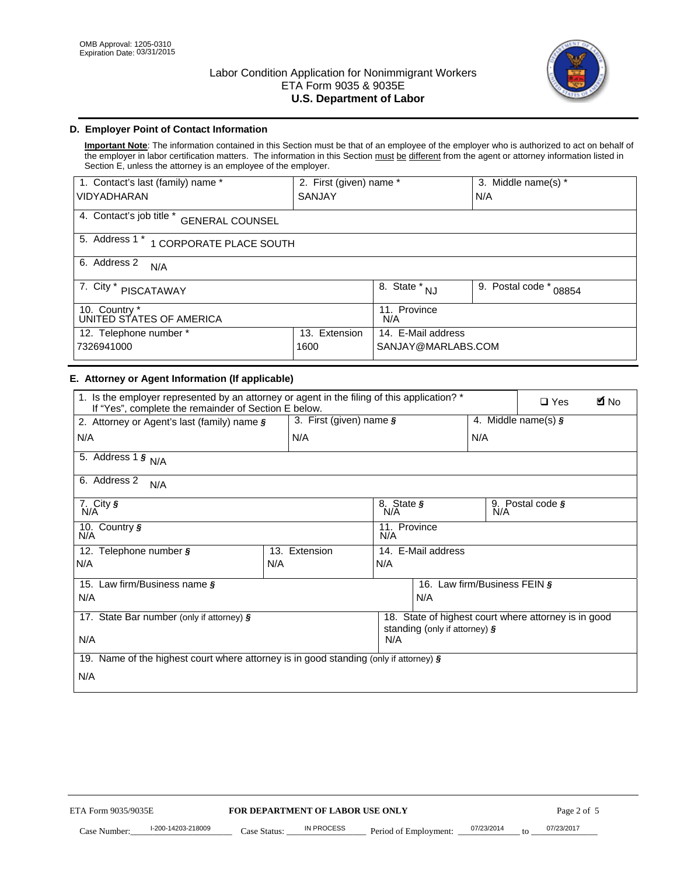

# **D. Employer Point of Contact Information**

**Important Note**: The information contained in this Section must be that of an employee of the employer who is authorized to act on behalf of the employer in labor certification matters. The information in this Section must be different from the agent or attorney information listed in Section E, unless the attorney is an employee of the employer.

| 1. Contact's last (family) name *                  | 2. First (given) name * |                                   | 3. Middle name(s) *       |  |  |
|----------------------------------------------------|-------------------------|-----------------------------------|---------------------------|--|--|
| <b>VIDYADHARAN</b>                                 | <b>SANJAY</b>           |                                   | N/A                       |  |  |
| 4. Contact's job title *<br><b>GENERAL COUNSEL</b> |                         |                                   |                           |  |  |
| 5. Address 1 *<br>1 CORPORATE PLACE SOUTH          |                         |                                   |                           |  |  |
| 6. Address 2<br>N/A                                |                         |                                   |                           |  |  |
| 7. City $*$<br><b>PISCATAWAY</b>                   |                         | $8. \overline{\text{State}}^*$ NJ | 9. Postal code *<br>08854 |  |  |
| 10. Country *<br>UNITED STATES OF AMERICA          |                         | 11. Province<br>N/A               |                           |  |  |
| 12. Telephone number *<br>Extension<br>13.         |                         | 14. E-Mail address                |                           |  |  |
| 7326941000<br>1600                                 |                         | SANJAY@MARLABS.COM                |                           |  |  |

## **E. Attorney or Agent Information (If applicable)**

| VIDYADHARAN                                                                                                                                         | SANJAY                           |                                           |                                          | N/A                          |                                                      |             |
|-----------------------------------------------------------------------------------------------------------------------------------------------------|----------------------------------|-------------------------------------------|------------------------------------------|------------------------------|------------------------------------------------------|-------------|
| 4. Contact's job title * GENERAL COUNSEL                                                                                                            |                                  |                                           |                                          |                              |                                                      |             |
| 5. Address 1 * 1 CORPORATE PLACE SOUTH                                                                                                              |                                  |                                           |                                          |                              |                                                      |             |
| 6. Address 2<br>N/A                                                                                                                                 |                                  |                                           |                                          |                              |                                                      |             |
| 7. City * PISCATAWAY                                                                                                                                |                                  | $\overline{\phantom{a}}$ 8. State $^*$ NJ |                                          | 9. Postal code *             | 08854                                                |             |
| 10. Country *<br>UNITED STATES OF AMERICA                                                                                                           |                                  | 11. Province<br>N/A                       |                                          |                              |                                                      |             |
| 12. Telephone number *<br>7326941000                                                                                                                | 13. Extension<br>1600            |                                           | 14. E-Mail address<br>SANJAY@MARLABS.COM |                              |                                                      |             |
| E. Attorney or Agent Information (If applicable)                                                                                                    |                                  |                                           |                                          |                              |                                                      |             |
| 1. Is the employer represented by an attorney or agent in the filing of this application? *<br>If "Yes", complete the remainder of Section E below. |                                  |                                           |                                          |                              | $\Box$ Yes                                           | <b>A</b> No |
| 2. Attorney or Agent's last (family) name §                                                                                                         | 3. First (given) name §          |                                           |                                          |                              | 4. Middle name(s) $\sqrt{s}$                         |             |
| N/A                                                                                                                                                 | N/A                              |                                           |                                          | N/A                          |                                                      |             |
| 5. Address 1 $\frac{1}{9}$ N/A                                                                                                                      |                                  |                                           |                                          |                              |                                                      |             |
| 6. Address 2<br>N/A                                                                                                                                 |                                  |                                           |                                          |                              |                                                      |             |
| 7. City §<br>N/A                                                                                                                                    |                                  | 8. State §<br>N/A                         |                                          |                              | 9. Postal code §                                     |             |
| 10. Country §<br>N/A                                                                                                                                |                                  | 11. Province<br>N/A                       |                                          |                              |                                                      |             |
| 12. Telephone number §                                                                                                                              | 13. Extension                    | 14. E-Mail address                        |                                          |                              |                                                      |             |
| N/A                                                                                                                                                 | N/A                              | N/A                                       |                                          |                              |                                                      |             |
| 15. Law firm/Business name §                                                                                                                        |                                  |                                           |                                          | 16. Law firm/Business FEIN § |                                                      |             |
| N/A                                                                                                                                                 |                                  |                                           | N/A                                      |                              |                                                      |             |
| 17. State Bar number (only if attorney) §                                                                                                           |                                  |                                           | standing (only if attorney) §            |                              | 18. State of highest court where attorney is in good |             |
| N/A                                                                                                                                                 |                                  | N/A                                       |                                          |                              |                                                      |             |
| 19. Name of the highest court where attorney is in good standing (only if attorney) §                                                               |                                  |                                           |                                          |                              |                                                      |             |
| N/A                                                                                                                                                 |                                  |                                           |                                          |                              |                                                      |             |
|                                                                                                                                                     |                                  |                                           |                                          |                              |                                                      |             |
|                                                                                                                                                     |                                  |                                           |                                          |                              |                                                      |             |
|                                                                                                                                                     |                                  |                                           |                                          |                              |                                                      |             |
|                                                                                                                                                     |                                  |                                           |                                          |                              |                                                      |             |
|                                                                                                                                                     |                                  |                                           |                                          |                              |                                                      |             |
|                                                                                                                                                     |                                  |                                           |                                          |                              |                                                      |             |
|                                                                                                                                                     |                                  |                                           |                                          |                              |                                                      |             |
| ETA Form 9035/9035E                                                                                                                                 | FOR DEPARTMENT OF LABOR USE ONLY |                                           |                                          |                              | Page 2 of 5                                          |             |
| I-200-14203-218009                                                                                                                                  | <b>IN PROCESS</b>                |                                           |                                          | 07/23/2014                   | 07/23/2017                                           |             |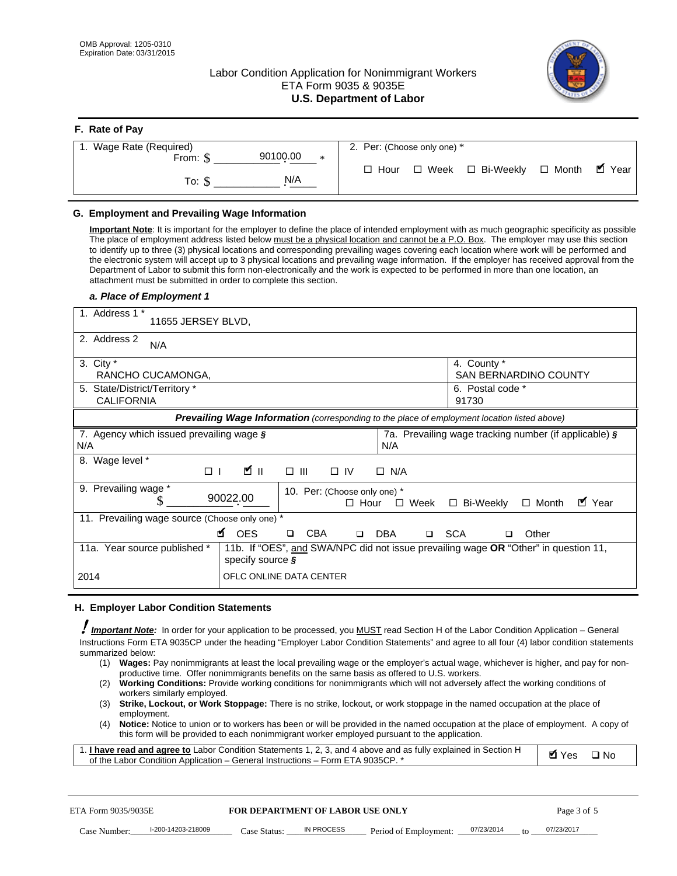# Labor Condition Application for Nonimmigrant Workers ETA Form 9035 & 9035E **U.S. Department of Labor**



| F. Rate of Pay              |                                          |
|-----------------------------|------------------------------------------|
| 1. Wage Rate (Required)     | 2. Per: (Choose only one) *              |
| 90100.00<br>From: \$<br>$*$ |                                          |
| N/A<br>To: \$               | □ Hour □ Week □ Bi-Weekly □ Month ■ Year |

## **G. Employment and Prevailing Wage Information**

#### *a. Place of Employment 1*

| From: \$<br>To: $$$                                                                                                                                                                                                                                                                                                                                                                                                                                                                                                                                                                                                                                                                                                                                                                                                                                                   | 90100.00<br>*<br>N/A                                                                                                                                                                                                                                                                                                                                                                                                                                                                                                                                                                                                                                                                                                              | $\Box$ Hour                                             | $\square$ Week<br>□ Bi-Weekly                                     | $\blacksquare$ Year<br>$\Box$ Month |
|-----------------------------------------------------------------------------------------------------------------------------------------------------------------------------------------------------------------------------------------------------------------------------------------------------------------------------------------------------------------------------------------------------------------------------------------------------------------------------------------------------------------------------------------------------------------------------------------------------------------------------------------------------------------------------------------------------------------------------------------------------------------------------------------------------------------------------------------------------------------------|-----------------------------------------------------------------------------------------------------------------------------------------------------------------------------------------------------------------------------------------------------------------------------------------------------------------------------------------------------------------------------------------------------------------------------------------------------------------------------------------------------------------------------------------------------------------------------------------------------------------------------------------------------------------------------------------------------------------------------------|---------------------------------------------------------|-------------------------------------------------------------------|-------------------------------------|
| G. Employment and Prevailing Wage Information<br>Important Note: It is important for the employer to define the place of intended employment with as much geographic specificity as possible<br>The place of employment address listed below must be a physical location and cannot be a P.O. Box. The employer may use this section<br>to identify up to three (3) physical locations and corresponding prevailing wages covering each location where work will be performed and<br>the electronic system will accept up to 3 physical locations and prevailing wage information. If the employer has received approval from the<br>Department of Labor to submit this form non-electronically and the work is expected to be performed in more than one location, an<br>attachment must be submitted in order to complete this section.<br>a. Place of Employment 1 |                                                                                                                                                                                                                                                                                                                                                                                                                                                                                                                                                                                                                                                                                                                                   |                                                         |                                                                   |                                     |
| 1. Address 1 *<br>11655 JERSEY BLVD,<br>2. Address 2<br>N/A<br>3. City $*$<br>RANCHO CUCAMONGA,<br>5. State/District/Territory *<br><b>CALIFORNIA</b>                                                                                                                                                                                                                                                                                                                                                                                                                                                                                                                                                                                                                                                                                                                 |                                                                                                                                                                                                                                                                                                                                                                                                                                                                                                                                                                                                                                                                                                                                   |                                                         | 4. County *<br>SAN BERNARDINO COUNTY<br>6. Postal code *<br>91730 |                                     |
|                                                                                                                                                                                                                                                                                                                                                                                                                                                                                                                                                                                                                                                                                                                                                                                                                                                                       | Prevailing Wage Information (corresponding to the place of employment location listed above)                                                                                                                                                                                                                                                                                                                                                                                                                                                                                                                                                                                                                                      |                                                         |                                                                   |                                     |
| 7. Agency which issued prevailing wage $\boldsymbol{\S}$<br>N/A                                                                                                                                                                                                                                                                                                                                                                                                                                                                                                                                                                                                                                                                                                                                                                                                       |                                                                                                                                                                                                                                                                                                                                                                                                                                                                                                                                                                                                                                                                                                                                   | N/A                                                     | 7a. Prevailing wage tracking number (if applicable) §             |                                     |
| 8. Wage level *<br>$\Box$<br>9. Prevailing wage *                                                                                                                                                                                                                                                                                                                                                                                                                                                                                                                                                                                                                                                                                                                                                                                                                     | <b>M</b><br>$\Box$ $\Box$                                                                                                                                                                                                                                                                                                                                                                                                                                                                                                                                                                                                                                                                                                         | $\Box$ IV<br>$\Box$ N/A<br>10. Per: (Choose only one) * |                                                                   |                                     |
| S<br>11. Prevailing wage source (Choose only one) *<br>11a. Year source published *                                                                                                                                                                                                                                                                                                                                                                                                                                                                                                                                                                                                                                                                                                                                                                                   | 90022.00<br><b>¤</b> OES<br>CBA<br>$\Box$<br>11b. If "OES", and SWA/NPC did not issue prevailing wage OR "Other" in question 11,<br>specify source $\boldsymbol{\S}$                                                                                                                                                                                                                                                                                                                                                                                                                                                                                                                                                              | $\Box$ Hour<br>□ Week<br>DBA<br>$\Box$                  | □ Bi-Weekly<br>□ SCA<br>□                                         | ■ Year<br>$\Box$ Month<br>Other     |
| 2014                                                                                                                                                                                                                                                                                                                                                                                                                                                                                                                                                                                                                                                                                                                                                                                                                                                                  | OFLC ONLINE DATA CENTER                                                                                                                                                                                                                                                                                                                                                                                                                                                                                                                                                                                                                                                                                                           |                                                         |                                                                   |                                     |
| H. Employer Labor Condition Statements<br>I Important Note: In order for your application to be processed, you MUST read Section H of the Labor Condition Application – General<br>Instructions Form ETA 9035CP under the heading "Employer Labor Condition Statements" and agree to all four (4) labor condition statements<br>summarized below:<br>(2)<br>workers similarly employed.<br>(3)<br>employment.<br>(4)<br>1. I have read and agree to Labor Condition Statements 1, 2, 3, and 4 above and as fully explained in Section H<br>of the Labor Condition Application - General Instructions - Form ETA 9035CP. *                                                                                                                                                                                                                                             | (1) Wages: Pay nonimmigrants at least the local prevailing wage or the employer's actual wage, whichever is higher, and pay for non-<br>productive time. Offer nonimmigrants benefits on the same basis as offered to U.S. workers.<br>Working Conditions: Provide working conditions for nonimmigrants which will not adversely affect the working conditions of<br>Strike, Lockout, or Work Stoppage: There is no strike, lockout, or work stoppage in the named occupation at the place of<br>Notice: Notice to union or to workers has been or will be provided in the named occupation at the place of employment. A copy of<br>this form will be provided to each nonimmigrant worker employed pursuant to the application. |                                                         |                                                                   | <b>Ø</b> Yes<br>$\square$ No        |
| ETA Form 9035/9035E                                                                                                                                                                                                                                                                                                                                                                                                                                                                                                                                                                                                                                                                                                                                                                                                                                                   | <b>FOR DEPARTMENT OF LABOR USE ONLY</b>                                                                                                                                                                                                                                                                                                                                                                                                                                                                                                                                                                                                                                                                                           |                                                         |                                                                   | Page 3 of 5                         |
| I-200-14203-218009<br>Case Number:                                                                                                                                                                                                                                                                                                                                                                                                                                                                                                                                                                                                                                                                                                                                                                                                                                    | IN PROCESS<br>Case Status:                                                                                                                                                                                                                                                                                                                                                                                                                                                                                                                                                                                                                                                                                                        | Period of Employment:                                   | 07/23/2014                                                        | 07/23/2017                          |

#### **H. Employer Labor Condition Statements**

- (1) **Wages:** Pay nonimmigrants at least the local prevailing wage or the employer's actual wage, whichever is higher, and pay for nonproductive time. Offer nonimmigrants benefits on the same basis as offered to U.S. workers.
- (2) **Working Conditions:** Provide working conditions for nonimmigrants which will not adversely affect the working conditions of workers similarly employed.
- (3) **Strike, Lockout, or Work Stoppage:** There is no strike, lockout, or work stoppage in the named occupation at the place of employment.
- (4) **Notice:** Notice to union or to workers has been or will be provided in the named occupation at the place of employment. A copy of this form will be provided to each nonimmigrant worker employed pursuant to the application.

| 1. I have read and agree to Labor Condition Statements 1, 2, 3, and 4 above and as fully explained in Section H | $\blacksquare$ Yes $\square$ No |  |
|-----------------------------------------------------------------------------------------------------------------|---------------------------------|--|
| of the Labor Condition Application – General Instructions – Form ETA 9035CP. *                                  |                                 |  |

| ETA Form 9035/9035E |                    | <b>FOR DEPARTMENT OF LABOR USE ONLY</b> |            |                       | Page 3 of 5 |           |            |
|---------------------|--------------------|-----------------------------------------|------------|-----------------------|-------------|-----------|------------|
| Case Number:        | I-200-14203-218009 | Case Status:                            | IN PROCESS | Period of Employment: | 07/23/2014  | $10^{-1}$ | 07/23/2017 |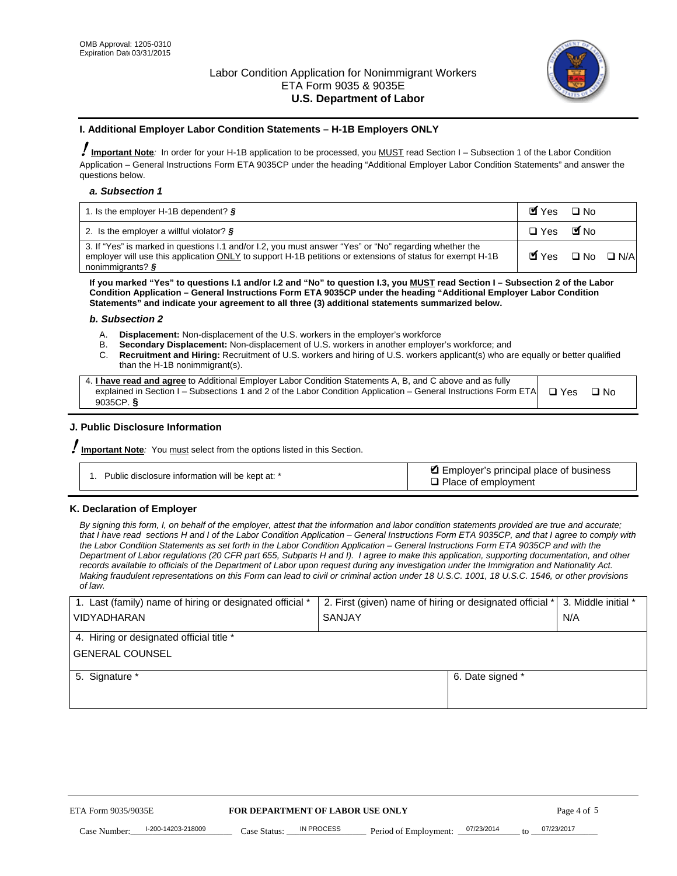

#### **I. Additional Employer Labor Condition Statements – H-1B Employers ONLY**

!**Important Note***:* In order for your H-1B application to be processed, you MUST read Section I – Subsection 1 of the Labor Condition Application – General Instructions Form ETA 9035CP under the heading "Additional Employer Labor Condition Statements" and answer the questions below.

#### *a. Subsection 1*

| 1. Is the employer H-1B dependent? $\S$                                                                                                                                                                                                 | Myes                                          | $\Box$ No              |  |
|-----------------------------------------------------------------------------------------------------------------------------------------------------------------------------------------------------------------------------------------|-----------------------------------------------|------------------------|--|
| 2. Is the employer a willful violator? $\frac{1}{2}$                                                                                                                                                                                    | $\Box$ Yes                                    | <b>M</b> <sub>No</sub> |  |
| 3. If "Yes" is marked in questions 1.1 and/or 1.2, you must answer "Yes" or "No" regarding whether the<br>employer will use this application ONLY to support H-1B petitions or extensions of status for exempt H-1B<br>nonimmigrants? § | $\blacksquare$ Yes $\square$ No $\square$ N/A |                        |  |

**If you marked "Yes" to questions I.1 and/or I.2 and "No" to question I.3, you MUST read Section I – Subsection 2 of the Labor Condition Application – General Instructions Form ETA 9035CP under the heading "Additional Employer Labor Condition Statements" and indicate your agreement to all three (3) additional statements summarized below.** 

#### *b. Subsection 2*

- A. **Displacement:** Non-displacement of the U.S. workers in the employer's workforce
- B. **Secondary Displacement:** Non-displacement of U.S. workers in another employer's workforce; and
- C. **Recruitment and Hiring:** Recruitment of U.S. workers and hiring of U.S. workers applicant(s) who are equally or better qualified than the H-1B nonimmigrant(s).

| 4. I have read and agree to Additional Employer Labor Condition Statements A, B, and C above and as fully                  |      |
|----------------------------------------------------------------------------------------------------------------------------|------|
| explained in Section I – Subsections 1 and 2 of the Labor Condition Application – General Instructions Form ETA $\Box$ Yes | ∩ Nח |
| 9035CP. $\delta$                                                                                                           |      |

## **J. Public Disclosure Information**

!**Important Note***:* You must select from the options listed in this Section.

| Public disclosure information will be kept at: * | Employer's principal place of business<br>$\Box$ Place of employment |
|--------------------------------------------------|----------------------------------------------------------------------|
|--------------------------------------------------|----------------------------------------------------------------------|

#### **K. Declaration of Employer**

*By signing this form, I, on behalf of the employer, attest that the information and labor condition statements provided are true and accurate;*  that I have read sections H and I of the Labor Condition Application – General Instructions Form ETA 9035CP, and that I agree to comply with *the Labor Condition Statements as set forth in the Labor Condition Application – General Instructions Form ETA 9035CP and with the Department of Labor regulations (20 CFR part 655, Subparts H and I). I agree to make this application, supporting documentation, and other records available to officials of the Department of Labor upon request during any investigation under the Immigration and Nationality Act. Making fraudulent representations on this Form can lead to civil or criminal action under 18 U.S.C. 1001, 18 U.S.C. 1546, or other provisions of law.* 

| 1. Last (family) name of hiring or designated official *               | 2. First (given) name of hiring or designated official * | 3. Middle initial *               |            |
|------------------------------------------------------------------------|----------------------------------------------------------|-----------------------------------|------------|
| <b>VIDYADHARAN</b>                                                     | <b>SANJAY</b>                                            | N/A                               |            |
| 4. Hiring or designated official title *                               |                                                          |                                   |            |
| <b>GENERAL COUNSEL</b>                                                 |                                                          |                                   |            |
| 5. Signature *                                                         |                                                          | 6. Date signed *                  |            |
|                                                                        |                                                          |                                   |            |
|                                                                        |                                                          |                                   |            |
|                                                                        |                                                          |                                   |            |
|                                                                        |                                                          |                                   |            |
| FOR DEPARTMENT OF LABOR USE ONLY<br>ETA Form 9035/9035E<br>Page 4 of 5 |                                                          |                                   |            |
| I-200-14203-218009<br>Case Number<br>Case Status:                      | IN PROCESS<br>Period of Employment:                      | 07/23/2014<br>$\mathsf{t} \alpha$ | 07/23/2017 |